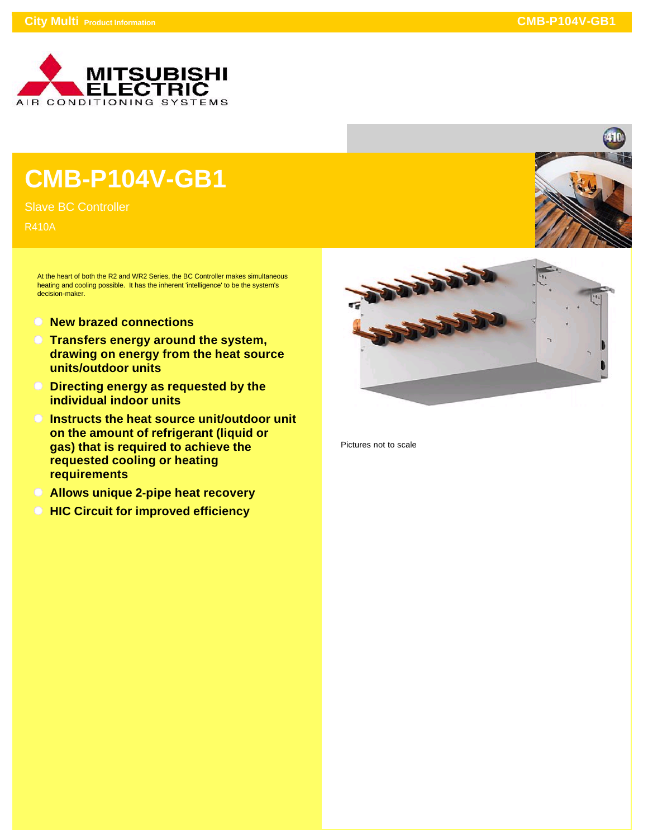

## **CMB-P104V-GB1**

Slave BC Controller

R410A

At the heart of both the R2 and WR2 Series, the BC Controller makes simultaneous heating and cooling possible. It has the inherent 'intelligence' to be the system's decision-maker.

- **New brazed connections**
- **Transfers energy around the system, drawing on energy from the heat source units/outdoor units**
- **Directing energy as requested by the individual indoor units**
- **Instructs the heat source unit/outdoor unit on the amount of refrigerant (liquid or gas) that is required to achieve the requested cooling or heating requirements**
- **Allows unique 2-pipe heat recovery**
- **C** HIC Circuit for improved efficiency



Pictures not to scale